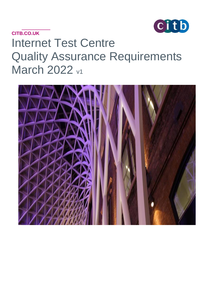

# **CITB.CO.UK** Internet Test Centre Quality Assurance Requirements **March 2022 v1**

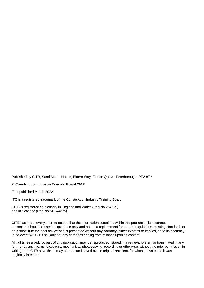Published by CITB, Sand Martin House, Bittern Way, Fletton Quays, Peterborough, PE2 8TY

#### © **Construction Industry Training Board 2017**

First published March 2022

ITC is a registered trademark of the Construction Industry Training Board.

CITB is registered as a charity in England and Wales (Reg No 264289) and in Scotland (Reg No SC044875)

CITB has made every effort to ensure that the information contained within this publication is accurate. Its content should be used as guidance only and not as a replacement for current regulations, existing standards or as a substitute for legal advice and is presented without any warranty, either express or implied, as to its accuracy. In no event will CITB be liable for any damages arising from reliance upon its content.

All rights reserved. No part of this publication may be reproduced, stored in a retrieval system or transmitted in any form or by any means, electronic, mechanical, photocopying, recording or otherwise, without the prior permission in writing from CITB save that it may be read and saved by the original recipient, for whose private use it was originally intended.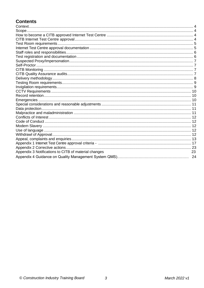# **Contents**

| Appendix 3 Notifications to CITB of material changes | 23 |
|------------------------------------------------------|----|
|                                                      |    |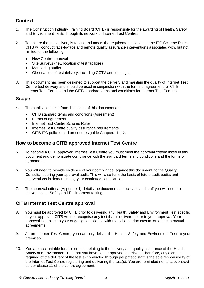### <span id="page-3-0"></span>**Context**

- 1. The Construction Industry Training Board (CITB) is responsible for the awarding of Health, Safety and Environment Tests through its network of Internet Test Centres.
- 2. To ensure the test delivery is robust and meets the requirements set out in the ITC Scheme Rules, CITB will conduct face-to-face and remote quality assurance interventions associated with, but not limited to, the following:
	- New Centre approval
	- Site Surveys (new location of test facilities)
	- Monitoring audits
	- Observation of test delivery, including CCTV and test logs.
- 3. This document has been designed to support the delivery and maintain the quality of Internet Test Centre test delivery and should be used in conjunction with the forms of agreement for CITB Internet Test Centres and the CITB standard terms and conditions for Internet Test Centres.

#### <span id="page-3-1"></span>**Scope**

- 4. The publications that form the scope of this document are:
	- CITB standard terms and conditions (Agreement)
	- Forms of agreement
	- Internet Test Centre Scheme Rules
	- Internet Test Centre quality assurance requirements
	- CITB ITC policies and procedures guide Chapters 1 -12.

#### <span id="page-3-2"></span>**How to become a CITB approved Internet Test Centre**

- 5. To become a CITB approved Internet Test Centre you must meet the approval criteria listed in this document and demonstrate compliance with the standard terms and conditions and the forms of agreement.
- 6. You will need to provide evidence of your compliance, against this document, to the Quality Consultant during your approval audit. This will also form the basis of future audit audits and interventions in demonstrating your continued compliance.
- 7. The approval criteria (Appendix 1) details the documents, processes and staff you will need to deliver Health Safety and Environment testing.

### **CITB Internet Test Centre approval**

- 8. You must be approved by CITB prior to delivering any Health, Safety and Environment Test specific to your approval. CITB will not recognise any test that is delivered prior to your approval. Your approval is subject to your ongoing compliance with the scheme documentation and contractual agreements.
- 9. As an Internet Test Centre, you can only deliver the Health, Safety and Environment Test at your premises.
- 10. You are accountable for all elements relating to the delivery and quality assurance of the Health, Safety and Environment Test that you have been approved to deliver. Therefore, any element required of the delivery of the test(s) conducted through peripatetic staff is the sole responsibility of the Internet Test Centre registering and delivering the test(s). You are reminded not to subcontract as per clause 11 of the centre agreement.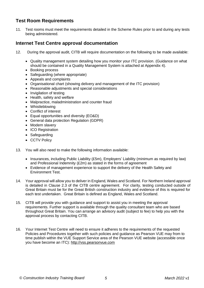### <span id="page-4-0"></span>**Test Room Requirements**

11. Test rooms must meet the requirements detailed in the Scheme Rules prior to and during any tests being administered.

#### <span id="page-4-1"></span>**Internet Test Centre approval documentation**

- 12. During the approval audit, CITB will require documentation on the following to be made available:
	- Quality management system detailing how you monitor your ITC provision. (Guidance on what should be contained in a Quality Management System is attached at Appendix 4).
	- Booking process
	- Safeguarding (where appropriate)
	- Appeals and complaints
	- Organisational chart (showing delivery and management of the ITC provision)
	- Reasonable adjustments and special considerations
	- Invigilation of testing
	- Health, safety and welfare
	- Malpractice, maladministration and counter fraud
	- Whistleblowing
	- Conflict of interest
	- Equal opportunities and diversity (EO&D)
	- General data protection Regulation (GDPR)
	- Modern slavery
	- ICO Registration
	- Safeguarding
	- CCTV Policy
- 13. You will also need to make the following information available:
	- Insurances, including Public Liability (£5m), Employers' Liability (minimum as required by law) and Professional Indemnity (£2m) as stated in the forms of agreement
	- Evidence of management experience to support the delivery of the Health Safety and Environment Test.
- 14. Your approval will allow you to deliver in England, Wales and Scotland. For Northern Ireland approval is detailed in Clause 2.3 of the CITB centre agreement. For clarity, testing conducted outside of Great Britain must be for the Great British construction industry and evidence of this is required for each test undertaken. Great Britain is defined as England, Wales and Scotland.
- 15. CITB will provide you with guidance and support to assist you in meeting the approval requirements. Further support is available through the quality consultant team who are based throughout Great Britain. You can arrange an advisory audit (subject to fee) to help you with the approval process by contacting CITB.
- 16. Your Internet Test Centre will need to ensure it adheres to the requirements of the requested Policies and Procedures together with such policies and guidance as Pearson VUE may from to time publish within the VUE Support Service area of the Pearson VUE website (accessible once you have become an ITC): [http://vss.pearsonvue.com](http://vss.pearsonvue.com/)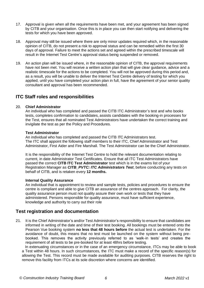- 17. Approval is given when all the requirements have been met, and your agreement has been signed by CITB and your organisation. Once this is in place you can then start notifying and delivering the tests for which you have been approved.
- 18. Approval may still be issued where there are only minor updates required which, in the reasonable opinion of CITB, do not present a risk to approval status and can be remedied within the first 30 days of approval. Failure to meet the actions set and agreed within the prescribed timescale will result in the Internet Test Centre's approval status being suspended or removed.
- 19. An action plan will be issued where, in the reasonable opinion of CITB, the approval requirements have not been met. You will receive a written action plan that will give clear guidance, advice and a realistic timescale for the actions to be completed. You will not be approved during this period and, as a result, you will be unable to deliver the Internet Test Centre delivery of testing for which you applied, until you have completed your action plan in full, have the agreement of your senior quality consultant and approval has been recommended.

#### <span id="page-5-0"></span>**ITC Staff roles and responsibilities**

#### 20. **Chief Administrator**

An individual who has completed and passed the CITB ITC Administrator's test and who books tests, completes confirmation to candidates, assists candidates with the booking-in processes for the Test, ensures that all nominated Test Administrators have undertaken the correct training and invigilate the test as per the Policy and Procedures.

#### **Test Administrator**

An individual who has completed and passed the CITB ITC Administrators test. The ITC shall appoint the following staff members to their ITC, Chief Administrator and Test Administrator, First Aider and Fire Marshall. The Test Administrator can be the Chief Administrator.

It is the responsibility of the Internet Test Centre to hold the relevant documentation relating to current, in date Administrator Test Certificates. Ensure that all ITC Test Administrators have passed the correct **CITB ITC Test Administrator** test which is in the exams list of your Registration Manager as *CITB\_PVTC: ITC Administrators Test*, before conducting any tests on behalf of CITB, and is retaken every **12 months.**

#### **Internal Quality Assurance**

An individual that is appointment to review and sample tests, policies and procedures to ensure the centre is compliant and able to give CITB an assurance of the centres approach. For clarity, the quality assurance person must not quality assure their own work or tests that they have administered. Persons responsible for quality assurance, must have sufficient experience, knowledge and authority to carry out their role

#### **Test registration and documentation**

21. It is the Chief Administrator's and/or Test Administrator's responsibility to ensure that candidates are informed in writing of the date and time of their test booking. All bookings must be entered onto the Pearson Vue booking system **no less that 48 hours before** the actual test is undertaken. For the avoidance of doubt, this means that no test must be launched on the system without being prebooked. This removes the activity previously referred to as 'walk-in tests' and creates the requirement of all tests to be pre-booked for at least 48hrs before testing.

 In extenuating circumstances or in the case of an emergency circumstance, ITCs may be able to book a Test within 48 hours. In such circumstances, the ITC must make a record of the specific reason(s) for allowing the Test. This record must be made available for auditing purposes. CITB reserves the right to remove this facility from ITCs at its sole discretion where concerns are identified.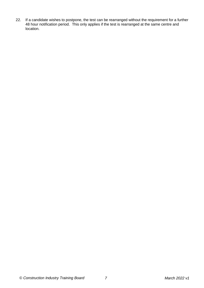22. If a candidate wishes to postpone, the test can be rearranged without the requirement for a further 48 hour notification period. This only applies if the test is rearranged at the same centre and location.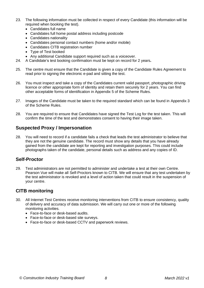- 23. The following information must be collected in respect of every Candidate (this information will be required when booking the test).
	- Candidates full name
	- Candidates full home postal address including postcode
	- Candidates nationality
	- Candidates personal contact numbers (home and/or mobile)
	- Candidates CITB registration number
	- Type of Test booked
	- Any additional Candidate support required such as a voiceover.
- 24. A Candidate's test booking confirmation must be kept on record for 2 years**.**
- 25. The centre must ensure that the Candidate is given a copy of the Candidate Rules Agreement to read prior to signing the electronic e-pad and sitting the test.
- 26. You must inspect and take a copy of the Candidates current valid passport, photographic driving licence or other appropriate form of identity and retain them securely for 2 years. You can find other acceptable forms of identification in Appendix 5 of the Scheme Rules.
- 27. Images of the Candidate must be taken to the required standard which can be found in Appendix 3 of the Scheme Rules.
- 28. You are required to ensure that Candidates have signed the Test Log for the test taken. This will confirm the time of the test and demonstrates consent to having their image taken.

#### **Suspected Proxy / Impersonation**

28. You will need to record if a candidate fails a check that leads the test administrator to believe that they are not the genuine candidate. The record must show any details that you have already gained from the candidate are kept for reporting and investigation purposes. This could include photographs taken of the candidate, personal details such as address and any copies of ID.

#### **Self-Proctor**

29. Test administrators are not permitted to administer and undertake a test at their own Centre. Pearson Vue will make all Self-Proctors known to CITB. We will ensure that any test undertaken by the test administrator is revoked and a level of action taken that could result in the suspension of your centre.

### **CITB monitoring**

- 30. All Internet Test Centres receive monitoring interventions from CITB to ensure consistency, quality of delivery and accuracy of data submission. We will carry out one or more of the following monitoring activities.
	- Face-to-face or desk-based audits.
	- Face-to-face or desk-based site surveys.
	- Face-to-face or desk-based CCTV and paperwork reviews.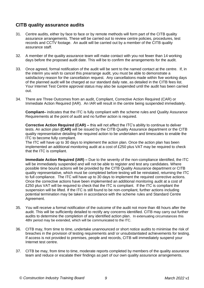### **CITB quality assurance audits**

- 31. Centre audits, either by face to face or by remote methods will form part of the CITB quality assurance arrangements. These will be carried out to review centre policies, procedures, test records and CCTV footage. An audit will be carried out by a member of the CITB quality assurance staff.
- 32. A member of the quality assurance team will make contact with you not fewer than 14 working days before the proposed audit date. This will be to confirm the arrangements for the audit.
- 33. Once agreed, formal notification of the audit will be sent to the named contact at the centre. If, in the interim you wish to cancel this prearrange audit, you must be able to demonstrate a satisfactory reason for the cancellation request. Any cancellations made within five working days of the planned audit will be charged at our standard daily rate, as detailed in the CITB fees list. Your Internet Test Centre approval status may also be suspended until the audit has been carried out.
- 34. There are Three Outcomes from an audit, Compliant, Corrective Action Required (CAR) or Immediate Action Required (IAR). An IAR will result in the centre being suspended immediately.

**Compliant–** indicates that the ITC is fully compliant with the scheme rules and Quality Assurance Requirements at the point of audit and no further action is required.

**Corrective Action Required (CAR) –** this will not affect the ITC's ability to continue to deliver tests. An action plan **(CAR)** will be issued by the CITB Quality Assurance department or the CITB quality representative detailing the required action to be undertaken and timescales to enable the ITC to become fully compliant.

The ITC will have up to 30 days to implement the action plan. Once the action plan has been implemented an additional monitoring audit at a cost of £250 plus VAT may be required to check that the ITC is compliant.

**Immediate Action Required (IAR) –** Due to the severity of the non-compliance identified, the ITC will be immediately suspended and will not be able to register and test any candidates. Where possible time bound actions will be provided by the CITB Quality Assurance department or CITB quality representative, which must be completed before testing will be reinstated, returning the ITC to full compliance. The ITC will have up to 30 days to implement the required corrective actions. Once the corrective actions have been implemented an additional monitoring audit at a cost of £250 plus VAT will be required to check that the ITC is compliant. If the ITC is compliant the suspension will be lifted. If the ITC is still found to be non-compliant, further actions including potential termination may be taken in accordance with the scheme rules and Standard Centre Agreement.

- 35. You will receive a formal notification of the outcome of the audit not more than 48 hours after the audit. This will be sufficiently detailed to rectify any concerns identified. CITB may carry out further audits to determine the completion of any identified action plan. In extenuating circumstances this 48hr period may be extended, which will be communicated to the ITC.
- 36. CITB may, from time to time, undertake unannounced or short notice audits to minimise the risk of breaches in the provision of testing requirements and/ or unsubstantiated achievements for testing. If access is not provided to premises, people and records, CITB will immediately suspend your Internet test centre.
- 37. CITB be may, from time to time, moderate reports completed by members of the quality assurance team and reduce or escalate their findings as part of our own quality assurance arrangements.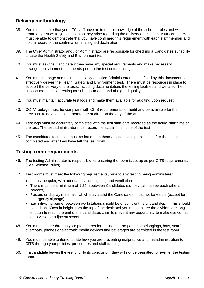### **Delivery methodology**

- 38. You must ensure that your ITC staff have an in-depth knowledge of the scheme rules and will report any issues to you as soon as they arise regarding the delivery of testing at your centre. You must be able to demonstrate that you have confirmed this requirement with each staff member and hold a record of the confirmation in a signed declaration.
- 39. The Chief Administrator and / or Administrator are responsible for checking a Candidates suitability to take the Health Safety and Environment test.
- 40. You must ask the Candidate if they have any special requirements and make necessary arrangements to meet their needs prior to the test commencing.
- 41. You must manage and maintain suitably qualified Administrators, as defined by this document, to effectively deliver the Health, Safety and Environment test. There must be resources in place to support the delivery of the tests, including documentation, the testing facilities and welfare. The support materials for testing must be up-to-date and of a good quality.
- 42. You must maintain accurate test logs and make them available for auditing upon request.
- 43. CCTV footage must be compliant with CITB requirements for audit and be available for the previous 30 days of testing before the audit or on the day of the audit.
- 44. Test logs must be accurately completed with the test start date recorded as the actual start time of the test. The test administrator must record the actual finish time of the test.
- 45. The candidates test result must be handed to them as soon as is practicable after the test is completed and after they have left the test room.

#### **Testing room requirements**

- 46. The testing Administrator is responsible for ensuring the room is set up as per CITB requirements. (See Scheme Rules)
- 47. Test rooms must meet the following requirements, prior to any testing being administered:
	- It must be quiet, with adequate space, lighting and ventilation
	- There must be a minimum of 1.25m between Candidates (so they cannot see each other's screens)
	- Posters or display materials, which may assist the Candidates, must not be visible (except for emergency signage)
	- Each dividing barrier between workstations should be of sufficient height and depth. This should be at least 60cm in height from the top of the desk and you must ensure the dividers are long enough to reach the end of the candidates chair to prevent any opportunity to make eye contact or to view the adjacent screen.
- 48. You must ensure through your procedures for testing that no personal belongings, hats, scarfs, overcoats, phones or electronic media devices and beverages are permitted in the test room.
- 49. You must be able to demonstrate how you are preventing malpractice and maladministration to CITB through your policies, procedures and staff training.
- 50. If a candidate leaves the test prior to its conclusion, they will not be permitted to re-enter the testing room.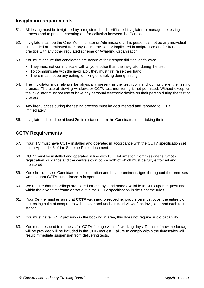### **Invigilation requirements**

- 51. All testing must be invigilated by a registered and certificated invigilator to manage the testing process and to prevent cheating and/or collusion between the Candidates.
- 52. Invigilators can be the Chief Administrator or Administrator. This person cannot be any individual suspended or terminated from any CITB provision or implicated in malpractice and/or fraudulent practice with any other regulated scheme or Awarding Organisation.
- 53. You must ensure that candidates are aware of their responsibilities, as follows:
	- They must not communicate with anyone other than the invigilator during the test.
	- To communicate with the invigilator, they must first raise their hand
	- There must not be any eating, drinking or smoking during testing.
- 54. The invigilator must always be physically present in the test room and during the entire testing process. The use of viewing windows or CCTV test monitoring is not permitted. Without exception the invigilator must not use or have any personal electronic device on their person during the testing process.
- 55. Any irregularities during the testing process must be documented and reported to CITB, immediately.
- 56. Invigilators should be at least 2m in distance from the Candidates undertaking their test.

#### **CCTV Requirements**

- 57. Your ITC must have CCTV installed and operated in accordance with the CCTV specification set out in Appendix 3 of the Scheme Rules document.
- 58. CCTV must be installed and operated in line with ICO (Information Commissioner's Office) registration, guidance and the centre's own policy both of which must be fully enforced and monitored.
- 59. You should advise Candidates of its operation and have prominent signs throughout the premises warning that CCTV surveillance is in operation.
- 60. We require that recordings are stored for 30 days and made available to CITB upon request and within the given timeframe as set out in the CCTV specification in the Scheme rules.
- 61. Your Centre must ensure that **CCTV with audio recording provision** must cover the entirety of the testing suite of computers with a clear and unobstructed view of the invigilator and each test station.
- 62. You must have CCTV provision in the booking in area, this does not require audio capability.
- 63. You must respond to requests for CCTV footage within 2 working days. Details of how the footage will be provided will be included in the CITB request. Failure to comply within the timescales will result immediate suspension from delivering tests.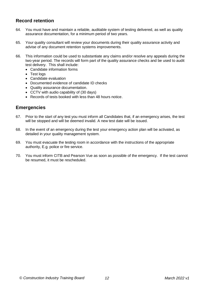### <span id="page-11-0"></span>**Record retention**

- 64. You must have and maintain a reliable, auditable system of testing delivered, as well as quality assurance documentation, for a minimum period of two years.
- 65. Your quality consultant will review your documents during their quality assurance activity and advise of any document retention systems improvements.
- 66. This information could be used to substantiate any claims and/or resolve any appeals during the two-year period. The records will form part of the quality assurance checks and be used to audit test delivery. This shall include:
	- Candidate information forms
	- Test logs
	- Candidate evaluation
	- Documented evidence of candidate ID checks
	- Quality assurance documentation.
	- CCTV with audio capability of (30 days)
	- Records of tests booked with less than 48 hours notice.

#### <span id="page-11-1"></span>**Emergencies**

- 67. Prior to the start of any test you must inform all Candidates that, if an emergency arises, the test will be stopped and will be deemed invalid. A new test date will be issued.
- 68. In the event of an emergency during the test your emergency action plan will be activated, as detailed in your quality management system.
- 69. You must evacuate the testing room in accordance with the instructions of the appropriate authority, E.g. police or fire service.
- <span id="page-11-2"></span>70. You must inform CITB and Pearson Vue as soon as possible of the emergency. If the test cannot be resumed, it must be rescheduled.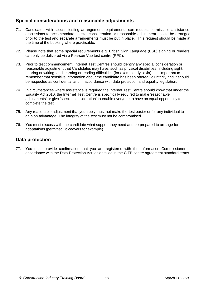### <span id="page-12-0"></span>**Special considerations and reasonable adjustments**

- 71. Candidates with special testing arrangement requirements can request permissible assistance. discussions to accommodate special consideration or reasonable adjustment should be arranged prior to the test and separate arrangements must be put in place. This request should be made at the time of the booking where practicable.
- 72. Please note that some special requirements e.g. British Sign Language (BSL) signing or readers, can only be delivered via a Pearson Vue test centre (PPC).
- 73. Prior to test commencement, Internet Test Centres should identify any special consideration or reasonable adjustment that Candidates may have, such as physical disabilities, including sight, hearing or writing, and learning or reading difficulties (for example, dyslexia). It is important to remember that sensitive information about the candidate has been offered voluntarily and it should be respected as confidential and in accordance with data protection and equality legislation.
- 74. In circumstances where assistance is required the Internet Test Centre should know that under the Equality Act 2010, the Internet Test Centre is specifically required to make 'reasonable adjustments' or give 'special consideration' to enable everyone to have an equal opportunity to complete the test.
- 75. Any reasonable adjustment that you apply must not make the test easier or for any individual to gain an advantage. The integrity of the test must not be compromised.
- 76. You must discuss with the candidate what support they need and be prepared to arrange for adaptations (permitted voiceovers for example).

#### **Data protection**

77. You must provide confirmation that you are registered with the Information Commissioner in accordance with the Data Protection Act, as detailed in the CITB centre agreement standard terms.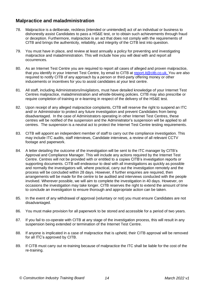### **Malpractice and maladministration**

- 78. Malpractice is a deliberate, reckless (intended or unintended) act of an individual or business to dishonestly assist Candidates to pass a HS&E test, or to obtain such achievements through fraud or deception. Furthermore, malpractice is an act that does not comply with the requirements of CITB and brings the authenticity, reliability, and integrity of the CITB test into question.
- 79. You must have in place, and review at least annually a policy for preventing and investigating malpractice and maladministration. This will include how you will deal with and report all occurrences.
- 80. As an Internet Test Centre you are required to report all cases of alleged and proven malpractice, that you identify in your Internet Test Centre, by email to CITB at [report.it@citb.co.uk.](mailto:report.it@citb.co.uk) You are also required to notify CITB of any approach by a person or third-party offering money or other inducements or incentives for you to assist candidates at your test centre.
- 81. All staff, including Administrators/invigilators, must have detailed knowledge of your Internet Test Centres malpractice, maladministration and whistle-blowing policies. CITB may also prescribe or require completion of training or e-learning in respect of the delivery of the HS&E test.
- 82. Upon receipt of any alleged malpractice complaints, CITB will reserve the right to suspend an ITC and/ or Administrator to protect any future investigation and prevent Candidates from being disadvantaged. In the case of Administrators operating in other Internet Test Centres, these centres will be notified of the suspension and the Administrator's suspension will be applied to all centres. The suspension is a neutral act to protect the Internet Test Centre testing requirements.
- 83. CITB will appoint an independent member of staff to carry out the compliance investigation. This may include ITC audits, staff interviews, Candidate interviews, a review of all relevant CCTV footage and paperwork.
- 84. A letter detailing the outcome of the investigation will be sent to the ITC manager by CITB's Approval and Compliance Manager. This will include any actions required by the Internet Test Centre. Centres will not be provided with or entitled to a copies CITB's investigation reports or supporting documents. CITB will endeavour to deal with all investigations as quickly as possible and normally the investigators will, where practical, carry out the investigation remotely and the process will be concluded within 28 days. However, if further enquiries are required, then arrangements will be made for the centre to be audited and interviews conducted with the people involved. Wherever possible, we will aim to complete the investigation in 40 days. However, on occasions the investigation may take longer. CITB reserves the right to extend the amount of time to conclude an investigation to ensure thorough and appropriate action can be taken.
- 85. In the event of any withdrawal of approval (voluntary or not) you must ensure Candidates are not disadvantaged.
- 86. You must make provision for all paperwork to be stored and accessible for a period of two years.
- 87. If you fail to co-operate with CITB at any stage of the investigation process, this will result in any suspension being extended or termination of the Internet Test Centre.
- 88. If anyone is implicated in a case of malpractice that is upheld, their CITB approval will be removed for all ITC's approved by CITB.
- 89. If CITB must carry out re-training because of malpractice the ITC shall be liable for the cost of the re-training.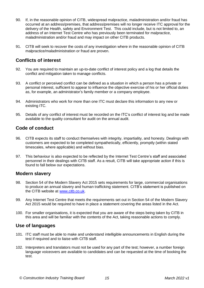- 90. If, in the reasonable opinion of CITB, widespread malpractice, maladministration and/or fraud has occurred at an address/premises, that address/premises will no longer receive ITC approval for the delivery of the Health, safety and Environment Test. This could include, but is not limited to, an address of an Internet Test Centre who has previously been terminated for malpractice, maladministration and/or fraud and may impact on other CITB products.
- 91. CITB will seek to recover the costs of any investigation where in the reasonable opinion of CITB malpractice/maladministration or fraud are proven.

### **Conflicts of interest**

- 92. You are required to maintain an up-to-date conflict of interest policy and a log that details the conflict and mitigation taken to manage conflicts.
- 93. A conflict or perceived conflict can be defined as a situation in which a person has a private or personal interest, sufficient to appear to influence the objective exercise of his or her official duties as, for example, an administrator's family member or a company employee.
- 94. Administrators who work for more than one ITC must declare this information to any new or existing ITC.
- 95. Details of any conflict of interest must be recorded on the ITC's conflict of interest log and be made available to the quality consultant for audit on the annual audit.

### **Code of conduct**

- 96. CITB expects its staff to conduct themselves with integrity, impartiality, and honesty. Dealings with customers are expected to be completed sympathetically, efficiently, promptly (within stated timescales, where applicable) and without bias.
- 97. This behaviour is also expected to be reflected by the Internet Test Centre's staff and associated personnel in their dealings with CITB staff. As a result, CITB will take appropriate action if this is found to fall below our expectations.

### **Modern slavery**

- 98. Section 54 of the Modern Slavery Act 2015 sets requirements for large, commercial organisations to produce an annual slavery and human trafficking statement. CITB's statement is published on the CITB website at [www.citb.co.uk.](http://www.citb.co.uk/)
- 99. Any Internet Test Centre that meets the requirements set out in Section 54 of the Modern Slavery Act 2015 would be required to have in place a statement covering the areas listed in the Act.
- 100. For smaller organisations, it is expected that you are aware of the steps being taken by CITB in this area and will be familiar with the contents of the Act, taking reasonable actions to comply.

#### **Use of languages**

- 101. ITC staff must be able to make and understand intelligible announcements in English during the test if required and to liaise with CITB staff.
- 102. Interpreters and translators must not be used for any part of the test; however, a number foreign language voiceovers are available to candidates and can be requested at the time of booking the test.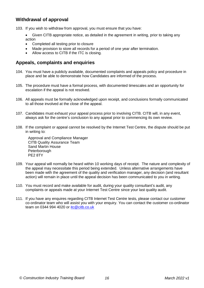### **Withdrawal of approval**

103. If you wish to withdraw from approval, you must ensure that you have:

- Given CITB appropriate notice, as detailed in the agreement in writing, prior to taking any action
- Completed all testing prior to closure
- Made provision to store all records for a period of one year after termination.
- Allow access to CITB if the ITC is closing.

### **Appeals, complaints and enquiries**

- 104. You must have a publicly available, documented complaints and appeals policy and procedure in place and be able to demonstrate how Candidates are informed of the process.
- 105. The procedure must have a formal process, with documented timescales and an opportunity for escalation if the appeal is not resolved.
- 106. All appeals must be formally acknowledged upon receipt, and conclusions formally communicated to all those involved at the close of the appeal.
- 107. Candidates must exhaust your appeal process prior to involving CITB. CITB will, in any event, always ask for the centre's conclusion to any appeal prior to commencing its own review.
- 108. If the complaint or appeal cannot be resolved by the Internet Test Centre, the dispute should be put in writing to:

Approval and Compliance Manager CITB Quality Assurance Team Sand Martin House Peterborough PE2 8TY

- 109. Your appeal will normally be heard within 10 working days of receipt. The nature and complexity of the appeal may necessitate this period being extended. Unless alternative arrangements have been made with the agreement of the quality and verification manager, any decision (and resultant action) will remain in place until the appeal decision has been communicated to you in writing.
- 110. You must record and make available for audit, during your quality consultant's audit, any complaints or appeals made at your Internet Test Centre since your last quality audit.
- 111. If you have any enquires regarding CITB Internet Test Centre tests, please contact our customer co-ordinator team who will assist you with your enquiry. You can contact the customer co-ordinator team on 0344 994 4020 or itc@citb.co.uk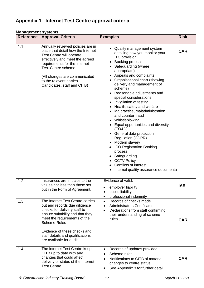#### <span id="page-16-0"></span>**Management systems**

| <b>Reference</b> | <b>Approval Criteria</b>                                                                                                                                                                                                                                                                          | <b>Examples</b>                                                                                                                                                                                                                                                                                                                                                                                                                                                                                                                                                                                                                                                                                                                                | <b>Risk</b> |
|------------------|---------------------------------------------------------------------------------------------------------------------------------------------------------------------------------------------------------------------------------------------------------------------------------------------------|------------------------------------------------------------------------------------------------------------------------------------------------------------------------------------------------------------------------------------------------------------------------------------------------------------------------------------------------------------------------------------------------------------------------------------------------------------------------------------------------------------------------------------------------------------------------------------------------------------------------------------------------------------------------------------------------------------------------------------------------|-------------|
| 1.1              | Annually reviewed policies are in<br>place that detail how the Internet<br>Test Centre will operate<br>effectively and meet the agreed<br>requirements for the Internet<br><b>Test Centre scheme</b><br>(All changes are communicated<br>to the relevant parties -<br>Candidates, staff and CITB) | Quality management system<br>detailing how you monitor your<br><b>ITC</b> provision<br><b>Booking process</b><br>Safeguarding (where<br>appropriate)<br>Appeals and complaints<br>Organisational chart (showing<br>delivery and management of<br>scheme)<br>Reasonable adjustments and<br>special considerations<br>Invigilation of testing<br>Health, safety and welfare<br>Malpractice, maladministration<br>and counter fraud<br>Whistleblowing<br>٠<br>• Equal opportunities and diversity<br>(EO&D)<br>• General data protection<br><b>Regulation (GDPR)</b><br>• Modern slavery<br><b>ICO Registration Booking</b><br>process<br>• Safeguarding<br>• CCTV Policy<br><b>Conflicts of interest</b><br>Internal quality assurance documenta | <b>CAR</b>  |
| 1.2              | Insurances are in place to the<br>values not less than those set<br>out in the Form of Agreement.                                                                                                                                                                                                 | Evidence of valid:<br>employer liability<br>public liability<br>professional indemnity<br>$\bullet$                                                                                                                                                                                                                                                                                                                                                                                                                                                                                                                                                                                                                                            | <b>IAR</b>  |
| 1.3              | The Internet Test Centre carries<br>out and records due diligence<br>checks for delivery staff to<br>ensure suitability and that they<br>meet the requirements of the<br><b>Scheme Rules</b><br>Evidence of these checks and<br>staff details and qualifications<br>are available for audit       | Records of checks made<br>$\bullet$<br><b>Administrators Certificates</b><br>Declarations from staff confirming<br>their understanding of scheme<br>rules                                                                                                                                                                                                                                                                                                                                                                                                                                                                                                                                                                                      | <b>CAR</b>  |
| 1.4              | The Internet Test Centre keeps<br>CITB up to date with any<br>changes that could affect<br>delivery or status of the Internet<br>Test Centre.                                                                                                                                                     | Records of updates provided<br>Scheme rules<br>Notifications to CITB of material<br>changes to centre status<br>See Appendix 3 for further detail                                                                                                                                                                                                                                                                                                                                                                                                                                                                                                                                                                                              | <b>CAR</b>  |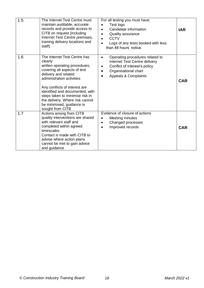| 1.5 | The Internet Test Centre must<br>maintain auditable, accurate<br>records and provide access to<br>CITB on request (including<br>Internet Test Centre premises,<br>training delivery locations and<br>staff)                                                                                                                                              | For all testing you must have:<br>Test logs<br>Candidate information<br><b>Quality assurance</b><br><b>CCTV</b><br>Logs of any tests booked with less<br>than 48 hours' notice.                     | <b>IAR</b> |
|-----|----------------------------------------------------------------------------------------------------------------------------------------------------------------------------------------------------------------------------------------------------------------------------------------------------------------------------------------------------------|-----------------------------------------------------------------------------------------------------------------------------------------------------------------------------------------------------|------------|
| 1.6 | The Internet Test Centre has<br>clearly<br>written operating procedures,<br>covering all aspects of test<br>delivery and related<br>administration activities<br>Any conflicts of interest are<br>identified and documented, with<br>steps taken to minimise risk in<br>the delivery. Where risk cannot<br>be minimised, guidance is<br>sought from CITB | Operating procedures related to<br>$\bullet$<br>Internet Test Centre delivery<br>Conflict of interest's policy<br>$\bullet$<br>Organisational chart<br><b>Appeals &amp; Complaints</b><br>$\bullet$ | <b>CAR</b> |
| 1.7 | Actions arising from CITB<br>quality interventions are shared<br>with relevant staff and<br>completed within agreed<br>timescales<br>Contact is made with CITB to<br>advise where action plans<br>cannot be met to gain advice<br>and guidance                                                                                                           | Evidence of closure of actions<br>Meeting minutes<br>$\bullet$<br>Changed processes<br>$\bullet$<br>Improved records<br>$\bullet$                                                                   | <b>CAR</b> |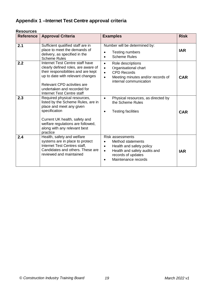| <b>Reference</b> | <b>Approval Criteria</b>                                                                                                                                                                                                                             | <b>Examples</b>                                                                                                                                                                 | <b>Risk</b> |
|------------------|------------------------------------------------------------------------------------------------------------------------------------------------------------------------------------------------------------------------------------------------------|---------------------------------------------------------------------------------------------------------------------------------------------------------------------------------|-------------|
| 2.1              | Sufficient qualified staff are in<br>place to meet the demands of<br>delivery, as specified in the<br><b>Scheme Rules</b>                                                                                                                            | Number will be determined by:<br><b>Testing numbers</b><br><b>Scheme Rules</b>                                                                                                  | <b>IAR</b>  |
| 2.2              | Internet Test Centre staff have<br>clearly defined roles, are aware of<br>their responsibilities and are kept<br>up to date with relevant changes<br>Relevant CPD activities are<br>undertaken and recorded for<br><b>Internet Test Centre staff</b> | Role descriptions<br>$\bullet$<br>Organisational chart<br>$\bullet$<br><b>CPD Records</b><br>$\bullet$<br>Meeting minutes and/or records of<br>internal communication           | <b>CAR</b>  |
| 2.3              | Required physical resources,<br>listed by the Scheme Rules, are in<br>place and meet any given<br>specification<br>Current UK health, safety and<br>welfare regulations are followed,<br>along with any relevant best<br>practice                    | Physical resources, as directed by<br>the Scheme Rules<br><b>Testing facilities</b>                                                                                             | <b>CAR</b>  |
| 2.4              | Health, safety and welfare<br>systems are in place to protect<br>Internet Test Centres staff,<br>Candidates and others. These are<br>reviewed and maintained                                                                                         | <b>Risk assessments</b><br>Method statements<br>Health and safety policy<br>$\bullet$<br>Health and safety audits and<br>$\bullet$<br>records of updates<br>Maintenance records | <b>IAR</b>  |

#### **Resources**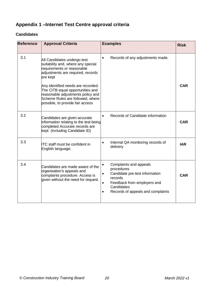#### **Candidates**

| <b>Reference</b> | <b>Approval Criteria</b>                                                                                                                                                                                                                                                                                                                | <b>Examples</b>                                                                                                                                                                                            | <b>Risk</b> |
|------------------|-----------------------------------------------------------------------------------------------------------------------------------------------------------------------------------------------------------------------------------------------------------------------------------------------------------------------------------------|------------------------------------------------------------------------------------------------------------------------------------------------------------------------------------------------------------|-------------|
| 3.1              | All Candidates undergo test<br>suitability and, where any special<br>requirements or reasonable<br>adjustments are required, records<br>are kept<br>Any identified needs are recorded.<br>The CITB equal opportunities and<br>reasonable adjustments policy and<br>Scheme Rules are followed, where<br>possible, to provide fair access | Records of any adjustments made.<br>$\bullet$                                                                                                                                                              | <b>CAR</b>  |
| 3.2              | Candidates are given accurate<br>information relating to the test being<br>completed Accurate records are<br>kept (including Candidate ID)                                                                                                                                                                                              | Records of Candidate information<br>$\bullet$                                                                                                                                                              | <b>CAR</b>  |
| 3.3              | <b>ITC</b> staff must be confident in<br>English language.                                                                                                                                                                                                                                                                              | Internal QA monitoring records of<br>$\bullet$<br>delivery                                                                                                                                                 | <b>IAR</b>  |
| 3.4              | Candidates are made aware of the<br>organisation's appeals and<br>complaints procedure. Access is<br>given without the need for request                                                                                                                                                                                                 | Complaints and appeals<br>$\bullet$<br>procedures<br>Candidate pre-test information<br>$\bullet$<br>records<br>Feedback from employers and<br>Candidates<br>Records of appeals and complaints<br>$\bullet$ | <b>CAR</b>  |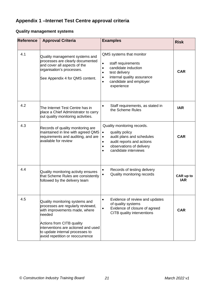### **Quality management systems**

| <b>Reference</b> | <b>Approval Criteria</b>                                                                                                                                                                                                                                  | <b>Examples</b>                                                                                                                                                                                                               | <b>Risk</b>             |
|------------------|-----------------------------------------------------------------------------------------------------------------------------------------------------------------------------------------------------------------------------------------------------------|-------------------------------------------------------------------------------------------------------------------------------------------------------------------------------------------------------------------------------|-------------------------|
| 4.1              | Quality management systems and<br>processes are clearly documented<br>and cover all aspects of the<br>organisation's processes.<br>See Appendix 4 for QMS content.                                                                                        | QMS systems that monitor<br>staff requirements<br>$\bullet$<br>candidate induction<br>$\bullet$<br>test delivery<br>$\bullet$<br>internal quality assurance<br>$\bullet$<br>candidate and employer<br>$\bullet$<br>experience | <b>CAR</b>              |
| 4.2              | The Internet Test Centre has in<br>place a Chief Administrator to carry<br>out quality monitoring activities.                                                                                                                                             | Staff requirements, as stated in<br>$\bullet$<br>the Scheme Rules                                                                                                                                                             | <b>IAR</b>              |
| 4.3              | Records of quality monitoring are<br>maintained in line with agreed QMS<br>requirements and auditing, and are<br>available for review                                                                                                                     | Quality monitoring records.<br>quality policy<br>$\bullet$<br>audit plans and schedules<br>$\bullet$<br>audit reports and actions<br>$\bullet$<br>observations of delivery<br>$\bullet$<br>candidate interviews<br>$\bullet$  | <b>CAR</b>              |
| 4.4              | Quality monitoring activity ensures<br>that Scheme Rules are consistently<br>followed by the delivery team                                                                                                                                                | Records of testing delivery<br>$\bullet$<br>Quality monitoring records<br>$\bullet$                                                                                                                                           | CAR up to<br><b>IAR</b> |
| 4.5              | Quality monitoring systems and<br>processes are regularly reviewed,<br>with improvements made, where<br>needed<br>Actions from CITB quality<br>interventions are actioned and used<br>to update internal processes to<br>avoid repetition or reoccurrence | Evidence of review and updates<br>$\bullet$<br>of quality systems<br>Evidence of closure of agreed<br>$\bullet$<br>CITB quality interventions                                                                                 | <b>CAR</b>              |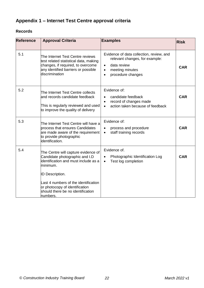### **Records**

<span id="page-21-0"></span>

| <b>Reference</b> | <b>Approval Criteria</b>                                                                                                                                                                                                                                                       | <b>Examples</b>                                                                                                                                                          | <b>Risk</b> |
|------------------|--------------------------------------------------------------------------------------------------------------------------------------------------------------------------------------------------------------------------------------------------------------------------------|--------------------------------------------------------------------------------------------------------------------------------------------------------------------------|-------------|
| 5.1              | The Internet Test Centre reviews<br>test related statistical data, making<br>changes, if required, to overcome<br>any identified barriers or possible<br>discrimination                                                                                                        | Evidence of data collection, review, and<br>relevant changes, for example:<br>data review<br>$\bullet$<br>meeting minutes<br>$\bullet$<br>procedure changes<br>$\bullet$ | <b>CAR</b>  |
| 5.2              | The Internet Test Centre collects<br>and records candidate feedback<br>This is regularly reviewed and used<br>to improve the quality of delivery                                                                                                                               | Evidence of:<br>candidate feedback<br>record of changes made<br>$\bullet$<br>action taken because of feedback<br>$\bullet$                                               | <b>CAR</b>  |
| 5.3              | The Internet Test Centre will have a<br>process that ensures Candidates<br>are made aware of the requirement<br>to provide photographic<br>identification.                                                                                                                     | Evidence of:<br>process and procedure<br>staff training records<br>$\bullet$                                                                                             | <b>CAR</b>  |
| 5.4              | The Centre will capture evidence of<br>Candidate photographic and I.D<br>identification and must include as a<br>minimum.<br><b>ID Description.</b><br>Last 4 numbers of the identification<br>or photocopy of identification<br>should there be no identification<br>numbers. | Evidence of.<br>Photographic Identification Log<br>Test log completion                                                                                                   | <b>CAR</b>  |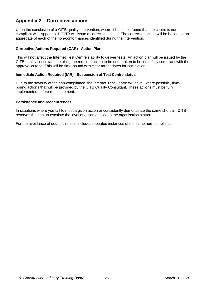### **Appendix 2 – Corrective actions**

Upon the conclusion of a CITB quality intervention, where it has been found that the centre is not compliant with Appendix 1, CITB will issue a corrective action. The corrective action will be based on an aggregate of each of the non-conformances identified during the intervention.

#### **Corrective Actions Required (CAR)– Action Plan**

This will not affect the Internet Test Centre's ability to deliver tests. An action plan will be issued by the CITB quality consultant, detailing the required action to be undertaken to become fully compliant with the approval criteria. This will be time-bound with clear target dates for completion.

#### **Immediate Action Required (IAR) - Suspension of Test Centre status**

Due to the severity of the non-compliance, the Internet Test Centre will have, where possible, timebound actions that will be provided by the CITB Quality Consultant. These actions must be fully implemented before re-instatement.

#### **Persistence and reoccurrences**

In situations where you fail to meet a given action or consistently demonstrate the same shortfall, CITB reserves the right to escalate the level of action applied to the organisation status.

For the avoidance of doubt, this also includes repeated instances of the same non-compliance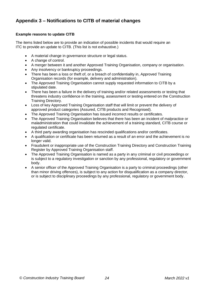# **Appendix 3 – Notifications to CITB of material changes**

#### **Example reasons to update CITB**

The items listed below are to provide an indication of possible incidents that would require an ITC to provide an update to CITB. (This list is not exhaustive.)

- A material change in governance structure or legal status.
- A change of control.
- A merger between it and another Approved Training Organisation, company or organisation.
- Any insolvency or bankruptcy proceedings.
- There has been a loss or theft of, or a breach of confidentiality in, Approved Training Organisation records (for example, delivery and administration).
- The Approved Training Organisation cannot supply requested information to CITB by a stipulated date.
- There has been a failure in the delivery of training and/or related assessments or testing that threatens industry confidence in the training, assessment or testing entered on the Construction Training Directory.
- Loss of key Approved Training Organisation staff that will limit or prevent the delivery of approved product categories (Assured, CITB products and Recognised).
- The Approved Training Organisation has issued incorrect results or certificates.
- The Approved Training Organisation believes that there has been an incident of malpractice or maladministration that could invalidate the achievement of a training standard, CITB course or regulated certificate.
- A third party awarding organisation has rescinded qualifications and/or certificates.
- A qualification or certificate has been returned as a result of an error and the achievement is no longer valid.
- Fraudulent or inappropriate use of the Construction Training Directory and Construction Training Register by Approved Training Organisation staff.
- The Approved Training Organisation is named as a party in any criminal or civil proceedings or is subject to a regulatory investigation or sanction by any professional, regulatory or government body.
- A senior officer of the Approved Training Organisation is a party to criminal proceedings (other than minor driving offences), is subject to any action for disqualification as a company director, or is subject to disciplinary proceedings by any professional, regulatory or government body.